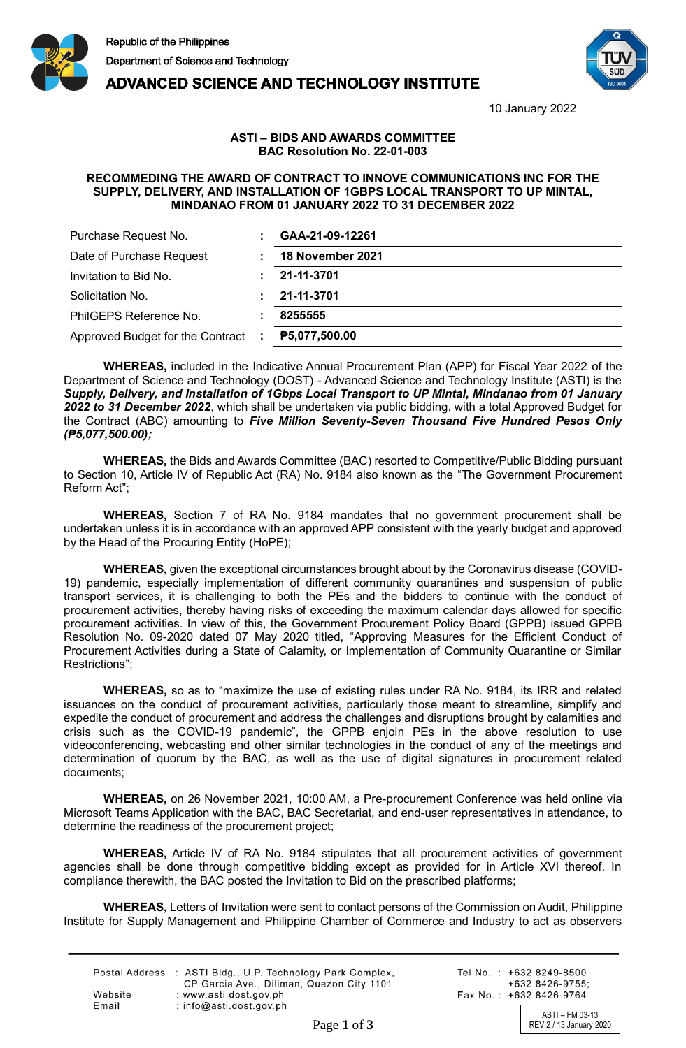

**ADVANCED SCIENCE AND TECHNOLOGY INSTITUTE** 



10 January 2022

## **ASTI – BIDS AND AWARDS COMMITTEE BAC Resolution No. 22-01-003**

## **RECOMMEDING THE AWARD OF CONTRACT TO INNOVE COMMUNICATIONS INC FOR THE SUPPLY, DELIVERY, AND INSTALLATION OF 1GBPS LOCAL TRANSPORT TO UP MINTAL, MINDANAO FROM 01 JANUARY 2022 TO 31 DECEMBER 2022**

| Purchase Request No.              | GAA-21-09-12261  |
|-----------------------------------|------------------|
| Date of Purchase Request          | 18 November 2021 |
| Invitation to Bid No.             | 21-11-3701       |
| Solicitation No.                  | 21-11-3701       |
| PhilGEPS Reference No.            | 8255555          |
| Approved Budget for the Contract: | ₱5,077,500.00    |

**WHEREAS,** included in the Indicative Annual Procurement Plan (APP) for Fiscal Year 2022 of the Department of Science and Technology (DOST) - Advanced Science and Technology Institute (ASTI) is the *Supply, Delivery, and Installation of 1Gbps Local Transport to UP Mintal, Mindanao from 01 January 2022 to 31 December 2022*, which shall be undertaken via public bidding, with a total Approved Budget for the Contract (ABC) amounting to *Five Million Seventy-Seven Thousand Five Hundred Pesos Only (₱5,077,500.00);*

**WHEREAS,** the Bids and Awards Committee (BAC) resorted to Competitive/Public Bidding pursuant to Section 10, Article IV of Republic Act (RA) No. 9184 also known as the "The Government Procurement Reform Act";

**WHEREAS,** Section 7 of RA No. 9184 mandates that no government procurement shall be undertaken unless it is in accordance with an approved APP consistent with the yearly budget and approved by the Head of the Procuring Entity (HoPE);

**WHEREAS,** given the exceptional circumstances brought about by the Coronavirus disease (COVID-19) pandemic, especially implementation of different community quarantines and suspension of public transport services, it is challenging to both the PEs and the bidders to continue with the conduct of procurement activities, thereby having risks of exceeding the maximum calendar days allowed for specific procurement activities. In view of this, the Government Procurement Policy Board (GPPB) issued GPPB Resolution No. 09-2020 dated 07 May 2020 titled, "Approving Measures for the Efficient Conduct of Procurement Activities during a State of Calamity, or Implementation of Community Quarantine or Similar Restrictions";

**WHEREAS,** so as to "maximize the use of existing rules under RA No. 9184, its IRR and related issuances on the conduct of procurement activities, particularly those meant to streamline, simplify and expedite the conduct of procurement and address the challenges and disruptions brought by calamities and crisis such as the COVID-19 pandemic", the GPPB enjoin PEs in the above resolution to use videoconferencing, webcasting and other similar technologies in the conduct of any of the meetings and determination of quorum by the BAC, as well as the use of digital signatures in procurement related documents;

**WHEREAS,** on 26 November 2021, 10:00 AM, a Pre-procurement Conference was held online via Microsoft Teams Application with the BAC, BAC Secretariat, and end-user representatives in attendance, to determine the readiness of the procurement project;

**WHEREAS,** Article IV of RA No. 9184 stipulates that all procurement activities of government agencies shall be done through competitive bidding except as provided for in Article XVI thereof. In compliance therewith, the BAC posted the Invitation to Bid on the prescribed platforms;

**WHEREAS,** Letters of Invitation were sent to contact persons of the Commission on Audit, Philippine Institute for Supply Management and Philippine Chamber of Commerce and Industry to act as observers

|         | Postal Address : ASTI Bldg., U.P. Technology Park Complex, |
|---------|------------------------------------------------------------|
|         | CP Garcia Ave., Diliman, Quezon City 1101                  |
| Website | : www.asti.dost.gov.ph                                     |
| Email   | : $info@asti.dost.gov.ph$                                  |
|         |                                                            |

Tel No.: +632 8249-8500  $+6328426-9755$ Fax No.: +632 8426-9764

ASTI – FM 03-13<br>REV 2 / 13 January 2020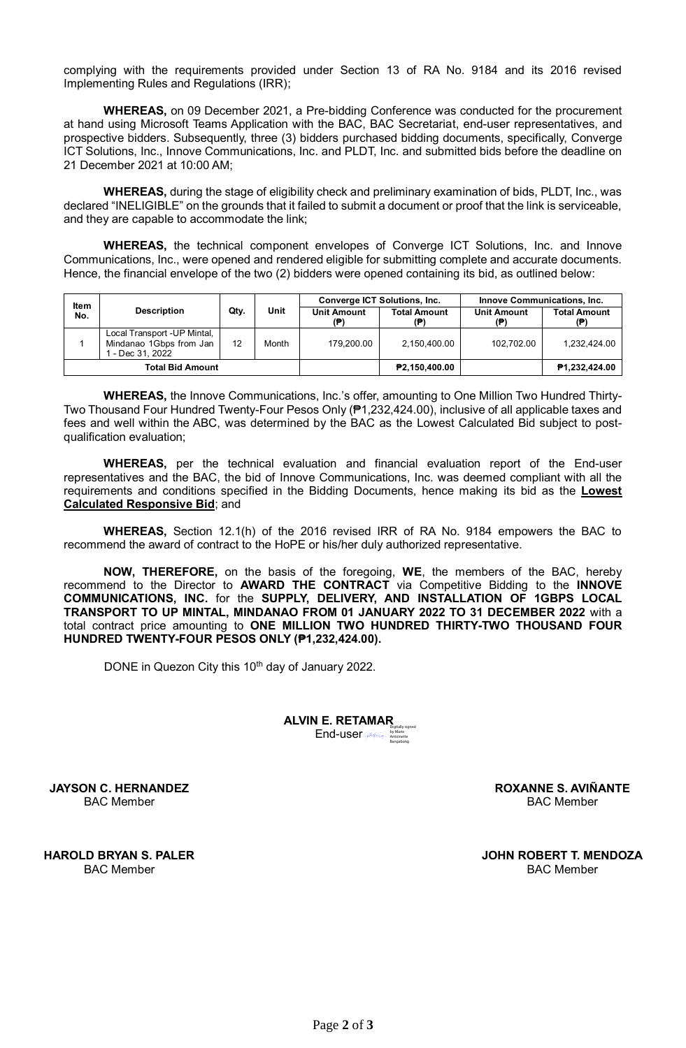complying with the requirements provided under Section 13 of RA No. 9184 and its 2016 revised Implementing Rules and Regulations (IRR);

**WHEREAS,** on 09 December 2021, a Pre-bidding Conference was conducted for the procurement at hand using Microsoft Teams Application with the BAC, BAC Secretariat, end-user representatives, and prospective bidders. Subsequently, three (3) bidders purchased bidding documents, specifically, Converge ICT Solutions, Inc., Innove Communications, Inc. and PLDT, Inc. and submitted bids before the deadline on 21 December 2021 at 10:00 AM;

**WHEREAS,** during the stage of eligibility check and preliminary examination of bids, PLDT, Inc., was declared "INELIGIBLE" on the grounds that it failed to submit a document or proof that the link is serviceable, and they are capable to accommodate the link;

**WHEREAS,** the technical component envelopes of Converge ICT Solutions, Inc. and Innove Communications, Inc., were opened and rendered eligible for submitting complete and accurate documents. Hence, the financial envelope of the two (2) bidders were opened containing its bid, as outlined below:

| <b>Item</b><br>No. | <b>Description</b>                                                         | Qty. | <b>Unit</b> | <b>Converge ICT Solutions, Inc.</b> |                     | <b>Innove Communications, Inc.</b> |                     |
|--------------------|----------------------------------------------------------------------------|------|-------------|-------------------------------------|---------------------|------------------------------------|---------------------|
|                    |                                                                            |      |             | <b>Unit Amount</b>                  | <b>Total Amount</b> | <b>Unit Amount</b><br>(P)          | <b>Total Amount</b> |
|                    | Local Transport -UP Mintal,<br>Mindanao 1Gbps from Jan<br>1 - Dec 31, 2022 | 12   | Month       | 179.200.00                          | 2,150,400.00        | 102,702.00                         | 1,232,424.00        |
|                    | <b>Total Bid Amount</b>                                                    |      |             |                                     | ₱2,150,400.00       |                                    | P1,232,424.00       |

**WHEREAS,** the Innove Communications, Inc.'s offer, amounting to One Million Two Hundred Thirty-Two Thousand Four Hundred Twenty-Four Pesos Only (₱1,232,424.00), inclusive of all applicable taxes and fees and well within the ABC, was determined by the BAC as the Lowest Calculated Bid subject to postqualification evaluation;

**WHEREAS,** per the technical evaluation and financial evaluation report of the End-user representatives and the BAC, the bid of Innove Communications, Inc. was deemed compliant with all the requirements and conditions specified in the Bidding Documents, hence making its bid as the **Lowest Calculated Responsive Bid**; and

**WHEREAS,** Section 12.1(h) of the 2016 revised IRR of RA No. 9184 empowers the BAC to recommend the award of contract to the HoPE or his/her duly authorized representative.

**NOW, THEREFORE,** on the basis of the foregoing, **WE**, the members of the BAC, hereby recommend to the Director to **AWARD THE CONTRACT** via Competitive Bidding to the **INNOVE COMMUNICATIONS, INC.** for the **SUPPLY, DELIVERY, AND INSTALLATION OF 1GBPS LOCAL TRANSPORT TO UP MINTAL, MINDANAO FROM 01 JANUARY 2022 TO 31 DECEMBER 2022** with a total contract price amounting to **ONE MILLION TWO HUNDRED THIRTY-TWO THOUSAND FOUR HUNDRED TWENTY-FOUR PESOS ONLY (₱1,232,424.00).**

DONE in Quezon City this 10<sup>th</sup> day of January 2022.

Aentanor

**ALVIN E. RETAMAR** End-user Digitally signed by Marie Antoinette Bangabang

Digitally signed K& auniverto by Aviñante Roxanne Sagun

**ROXANNE S. AVIÑANTE** BAC Member

Lobert Mindoz

**JOHN ROBERT T. MENDOZA** BAC Member

Herrano

**JAYSON C. HERNANDEZ** BAC Member

**HAROLD BRYAN S. PALER** BAC Member